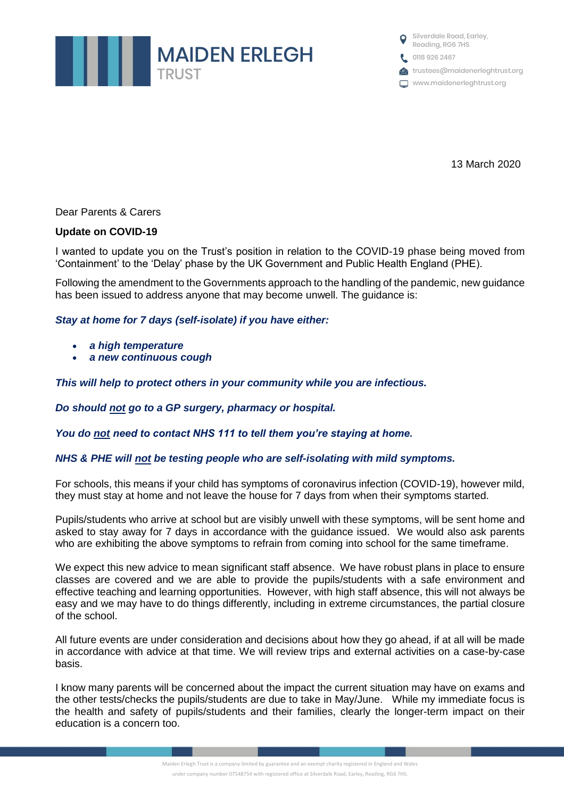

Silverdale Road, Earley, Reading, RG6 7HS 0118 926 2467 trustees@maidenerleghtrust.org www.maidenerleghtrust.org

13 March 2020

Dear Parents & Carers

## **Update on COVID-19**

I wanted to update you on the Trust's position in relation to the COVID-19 phase being moved from 'Containment' to the 'Delay' phase by the UK Government and Public Health England (PHE).

Following the amendment to the Governments approach to the handling of the pandemic, new guidance has been issued to address anyone that may become unwell. The guidance is:

## *Stay at home for 7 days (self-isolate) if you have either:*

- *a high temperature*
- *a new continuous cough*

*This will help to protect others in your community while you are infectious.*

*Do should not go to a GP surgery, pharmacy or hospital.*

*You do not need to contact NHS 111 to tell them you're staying at home.*

## *NHS & PHE will not be testing people who are self-isolating with mild symptoms.*

For schools, this means if your child has symptoms of coronavirus infection (COVID-19), however mild, they must stay at home and not leave the house for 7 days from when their symptoms started.

Pupils/students who arrive at school but are visibly unwell with these symptoms, will be sent home and asked to stay away for 7 days in accordance with the guidance issued. We would also ask parents who are exhibiting the above symptoms to refrain from coming into school for the same timeframe.

We expect this new advice to mean significant staff absence. We have robust plans in place to ensure classes are covered and we are able to provide the pupils/students with a safe environment and effective teaching and learning opportunities. However, with high staff absence, this will not always be easy and we may have to do things differently, including in extreme circumstances, the partial closure of the school.

All future events are under consideration and decisions about how they go ahead, if at all will be made in accordance with advice at that time. We will review trips and external activities on a case-by-case basis.

I know many parents will be concerned about the impact the current situation may have on exams and the other tests/checks the pupils/students are due to take in May/June. While my immediate focus is the health and safety of pupils/students and their families, clearly the longer-term impact on their education is a concern too.

> Maiden Erlegh Trust is a company limited by guarantee and an exempt charity registered in England and Wales under company number 07548754 with registered office at Silverdale Road, Earley, Reading, RG6 7HS.